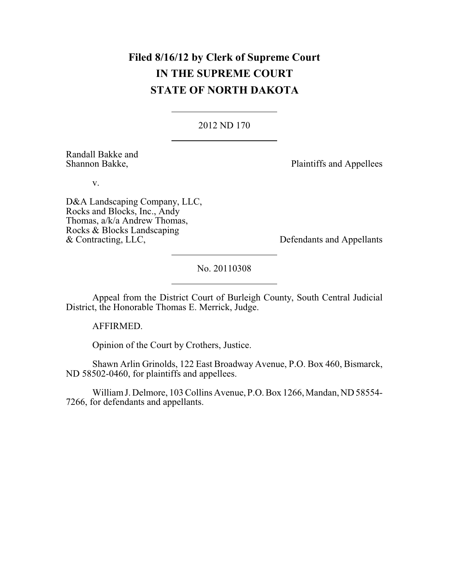# **Filed 8/16/12 by Clerk of Supreme Court IN THE SUPREME COURT STATE OF NORTH DAKOTA**

2012 ND 170

Randall Bakke and<br>Shannon Bakke,

Plaintiffs and Appellees

v.

D&A Landscaping Company, LLC, Rocks and Blocks, Inc., Andy Thomas, a/k/a Andrew Thomas, Rocks & Blocks Landscaping<br>& Contracting, LLC,

Defendants and Appellants

No. 20110308

Appeal from the District Court of Burleigh County, South Central Judicial District, the Honorable Thomas E. Merrick, Judge.

AFFIRMED.

Opinion of the Court by Crothers, Justice.

Shawn Arlin Grinolds, 122 East Broadway Avenue, P.O. Box 460, Bismarck, ND 58502-0460, for plaintiffs and appellees.

WilliamJ. Delmore, 103 Collins Avenue, P.O. Box 1266, Mandan, ND 58554- 7266, for defendants and appellants.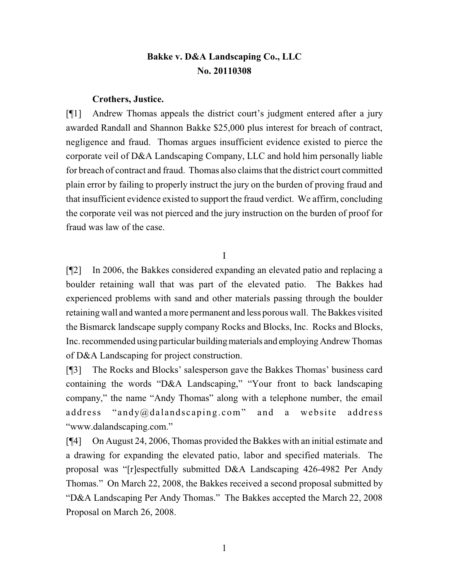## **Bakke v. D&A Landscaping Co., LLC No. 20110308**

### **Crothers, Justice.**

[¶1] Andrew Thomas appeals the district court's judgment entered after a jury awarded Randall and Shannon Bakke \$25,000 plus interest for breach of contract, negligence and fraud. Thomas argues insufficient evidence existed to pierce the corporate veil of D&A Landscaping Company, LLC and hold him personally liable for breach of contract and fraud. Thomas also claims that the district court committed plain error by failing to properly instruct the jury on the burden of proving fraud and that insufficient evidence existed to support the fraud verdict. We affirm, concluding the corporate veil was not pierced and the jury instruction on the burden of proof for fraud was law of the case.

I

[¶2] In 2006, the Bakkes considered expanding an elevated patio and replacing a boulder retaining wall that was part of the elevated patio. The Bakkes had experienced problems with sand and other materials passing through the boulder retaining wall and wanted amore permanent and less porous wall. The Bakkes visited the Bismarck landscape supply company Rocks and Blocks, Inc. Rocks and Blocks, Inc. recommended using particular buildingmaterials and employing Andrew Thomas of D&A Landscaping for project construction.

[¶3] The Rocks and Blocks' salesperson gave the Bakkes Thomas' business card containing the words "D&A Landscaping," "Your front to back landscaping company," the name "Andy Thomas" along with a telephone number, the email address "andy@dalandscaping.com" and a website address "www.dalandscaping.com."

[¶4] On August 24, 2006, Thomas provided the Bakkes with an initial estimate and a drawing for expanding the elevated patio, labor and specified materials. The proposal was "[r]espectfully submitted D&A Landscaping 426-4982 Per Andy Thomas." On March 22, 2008, the Bakkes received a second proposal submitted by "D&A Landscaping Per Andy Thomas." The Bakkes accepted the March 22, 2008 Proposal on March 26, 2008.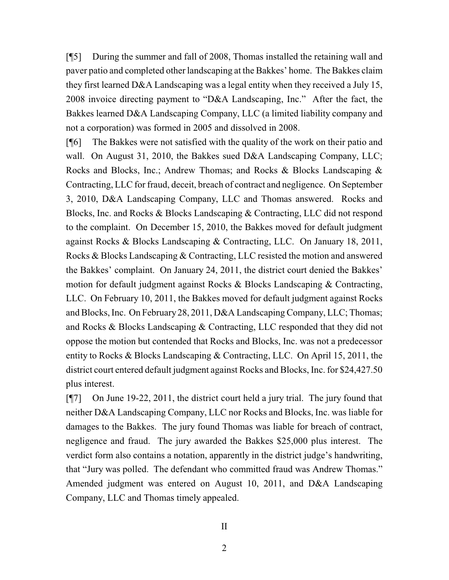[¶5] During the summer and fall of 2008, Thomas installed the retaining wall and paver patio and completed other landscaping at the Bakkes' home. The Bakkes claim they first learned D&A Landscaping was a legal entity when they received a July 15, 2008 invoice directing payment to "D&A Landscaping, Inc." After the fact, the Bakkes learned D&A Landscaping Company, LLC (a limited liability company and not a corporation) was formed in 2005 and dissolved in 2008.

[¶6] The Bakkes were not satisfied with the quality of the work on their patio and wall. On August 31, 2010, the Bakkes sued D&A Landscaping Company, LLC; Rocks and Blocks, Inc.; Andrew Thomas; and Rocks & Blocks Landscaping & Contracting, LLC for fraud, deceit, breach of contract and negligence. On September 3, 2010, D&A Landscaping Company, LLC and Thomas answered. Rocks and Blocks, Inc. and Rocks & Blocks Landscaping & Contracting, LLC did not respond to the complaint. On December 15, 2010, the Bakkes moved for default judgment against Rocks & Blocks Landscaping & Contracting, LLC. On January 18, 2011, Rocks & Blocks Landscaping & Contracting, LLC resisted the motion and answered the Bakkes' complaint. On January 24, 2011, the district court denied the Bakkes' motion for default judgment against Rocks & Blocks Landscaping & Contracting, LLC. On February 10, 2011, the Bakkes moved for default judgment against Rocks and Blocks, Inc. On February 28, 2011, D&A Landscaping Company, LLC; Thomas; and Rocks & Blocks Landscaping & Contracting, LLC responded that they did not oppose the motion but contended that Rocks and Blocks, Inc. was not a predecessor entity to Rocks & Blocks Landscaping & Contracting, LLC. On April 15, 2011, the district court entered default judgment against Rocks and Blocks, Inc. for \$24,427.50 plus interest.

[¶7] On June 19-22, 2011, the district court held a jury trial. The jury found that neither D&A Landscaping Company, LLC nor Rocks and Blocks, Inc. was liable for damages to the Bakkes. The jury found Thomas was liable for breach of contract, negligence and fraud. The jury awarded the Bakkes \$25,000 plus interest. The verdict form also contains a notation, apparently in the district judge's handwriting, that "Jury was polled. The defendant who committed fraud was Andrew Thomas." Amended judgment was entered on August 10, 2011, and D&A Landscaping Company, LLC and Thomas timely appealed.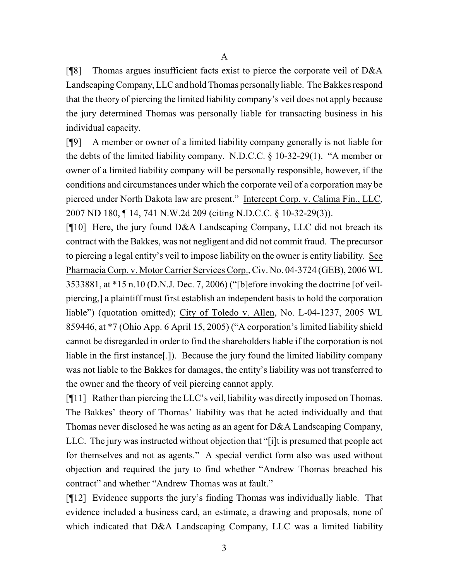A

[¶8] Thomas argues insufficient facts exist to pierce the corporate veil of D&A Landscaping Company, LLC and hold Thomas personally liable. The Bakkes respond that the theory of piercing the limited liability company's veil does not apply because the jury determined Thomas was personally liable for transacting business in his individual capacity.

[¶9] A member or owner of a limited liability company generally is not liable for the debts of the limited liability company. N.D.C.C. § 10-32-29(1). "A member or owner of a limited liability company will be personally responsible, however, if the conditions and circumstances under which the corporate veil of a corporation may be pierced under North Dakota law are present." Intercept Corp. v. Calima Fin., LLC, 2007 ND 180, ¶ 14, 741 N.W.2d 209 (citing N.D.C.C. § 10-32-29(3)).

[¶10] Here, the jury found D&A Landscaping Company, LLC did not breach its contract with the Bakkes, was not negligent and did not commit fraud. The precursor to piercing a legal entity's veil to impose liability on the owner is entity liability. See Pharmacia Corp. v. Motor Carrier Services Corp., Civ. No. 04-3724 (GEB), 2006 WL 3533881, at \*15 n.10 (D.N.J. Dec. 7, 2006) ("[b]efore invoking the doctrine [of veilpiercing,] a plaintiff must first establish an independent basis to hold the corporation liable") (quotation omitted); City of Toledo v. Allen, No. L-04-1237, 2005 WL 859446, at \*7 (Ohio App. 6 April 15, 2005) ("A corporation's limited liability shield cannot be disregarded in order to find the shareholders liable if the corporation is not liable in the first instance[.]). Because the jury found the limited liability company was not liable to the Bakkes for damages, the entity's liability was not transferred to the owner and the theory of veil piercing cannot apply.

[¶11] Rather than piercing the LLC's veil, liabilitywas directly imposed on Thomas. The Bakkes' theory of Thomas' liability was that he acted individually and that Thomas never disclosed he was acting as an agent for D&A Landscaping Company, LLC. The jury was instructed without objection that "[i]t is presumed that people act for themselves and not as agents." A special verdict form also was used without objection and required the jury to find whether "Andrew Thomas breached his contract" and whether "Andrew Thomas was at fault."

[¶12] Evidence supports the jury's finding Thomas was individually liable. That evidence included a business card, an estimate, a drawing and proposals, none of which indicated that D&A Landscaping Company, LLC was a limited liability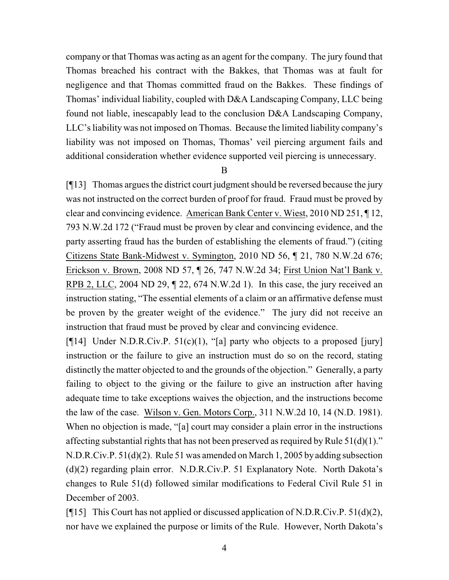company or that Thomas was acting as an agent for the company. The jury found that Thomas breached his contract with the Bakkes, that Thomas was at fault for negligence and that Thomas committed fraud on the Bakkes. These findings of Thomas' individual liability, coupled with D&A Landscaping Company, LLC being found not liable, inescapably lead to the conclusion D&A Landscaping Company, LLC's liability was not imposed on Thomas. Because the limited liability company's liability was not imposed on Thomas, Thomas' veil piercing argument fails and additional consideration whether evidence supported veil piercing is unnecessary.

B

[¶13] Thomas argues the district court judgment should be reversed because the jury was not instructed on the correct burden of proof for fraud. Fraud must be proved by clear and convincing evidence. American Bank Center v. Wiest, 2010 ND 251, ¶ 12, 793 N.W.2d 172 ("Fraud must be proven by clear and convincing evidence, and the party asserting fraud has the burden of establishing the elements of fraud.") (citing Citizens State Bank-Midwest v. Symington, 2010 ND 56, ¶ 21, 780 N.W.2d 676; Erickson v. Brown, 2008 ND 57, ¶ 26, 747 N.W.2d 34; First Union Nat'l Bank v. RPB 2, LLC, 2004 ND 29, ¶ 22, 674 N.W.2d 1). In this case, the jury received an instruction stating, "The essential elements of a claim or an affirmative defense must be proven by the greater weight of the evidence." The jury did not receive an instruction that fraud must be proved by clear and convincing evidence.

[ $[14]$  Under N.D.R.Civ.P. 51(c)(1), "[a] party who objects to a proposed [jury] instruction or the failure to give an instruction must do so on the record, stating distinctly the matter objected to and the grounds of the objection." Generally, a party failing to object to the giving or the failure to give an instruction after having adequate time to take exceptions waives the objection, and the instructions become the law of the case. Wilson v. Gen. Motors Corp., 311 N.W.2d 10, 14 (N.D. 1981). When no objection is made, "[a] court may consider a plain error in the instructions affecting substantial rights that has not been preserved as required by Rule  $51(d)(1)$ ." N.D.R.Civ.P. 51(d)(2). Rule 51 was amended on March 1, 2005 by adding subsection (d)(2) regarding plain error. N.D.R.Civ.P. 51 Explanatory Note. North Dakota's changes to Rule 51(d) followed similar modifications to Federal Civil Rule 51 in December of 2003.

[ $\llbracket \cdot \rrbracket$ ] This Court has not applied or discussed application of N.D.R.Civ.P. 51(d)(2), nor have we explained the purpose or limits of the Rule. However, North Dakota's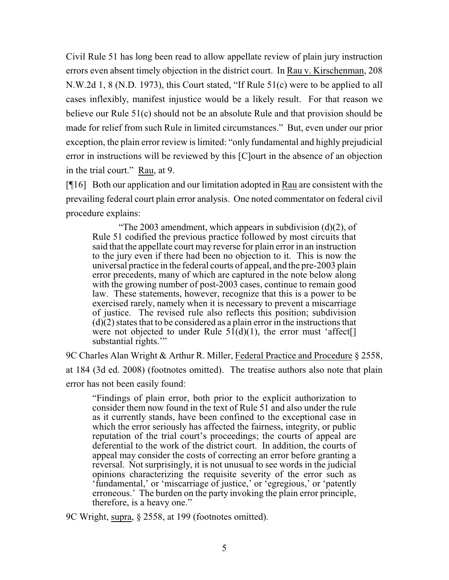Civil Rule 51 has long been read to allow appellate review of plain jury instruction errors even absent timely objection in the district court. In Rau v. Kirschenman, 208 N.W.2d 1, 8 (N.D. 1973), this Court stated, "If Rule 51(c) were to be applied to all cases inflexibly, manifest injustice would be a likely result. For that reason we believe our Rule 51(c) should not be an absolute Rule and that provision should be made for relief from such Rule in limited circumstances." But, even under our prior exception, the plain error review is limited: "only fundamental and highly prejudicial error in instructions will be reviewed by this [C]ourt in the absence of an objection in the trial court." Rau, at 9.

[¶16] Both our application and our limitation adopted in Rau are consistent with the prevailing federal court plain error analysis. One noted commentator on federal civil procedure explains:

"The 2003 amendment, which appears in subdivision  $(d)(2)$ , of Rule 51 codified the previous practice followed by most circuits that said that the appellate court may reverse for plain error in an instruction to the jury even if there had been no objection to it. This is now the universal practice in the federal courts of appeal, and the pre-2003 plain error precedents, many of which are captured in the note below along with the growing number of post-2003 cases, continue to remain good law. These statements, however, recognize that this is a power to be exercised rarely, namely when it is necessary to prevent a miscarriage of justice. The revised rule also reflects this position; subdivision  $(d)(2)$  states that to be considered as a plain error in the instructions that were not objected to under Rule  $5I(d)(1)$ , the error must 'affect[] substantial rights."

9C Charles Alan Wright & Arthur R. Miller, Federal Practice and Procedure § 2558, at 184 (3d ed. 2008) (footnotes omitted). The treatise authors also note that plain error has not been easily found:

"Findings of plain error, both prior to the explicit authorization to consider them now found in the text of Rule 51 and also under the rule as it currently stands, have been confined to the exceptional case in which the error seriously has affected the fairness, integrity, or public reputation of the trial court's proceedings; the courts of appeal are deferential to the work of the district court. In addition, the courts of appeal may consider the costs of correcting an error before granting a reversal. Not surprisingly, it is not unusual to see words in the judicial opinions characterizing the requisite severity of the error such as 'fundamental,' or 'miscarriage of justice,' or 'egregious,' or 'patently erroneous.' The burden on the party invoking the plain error principle, therefore, is a heavy one."

9C Wright, supra, § 2558, at 199 (footnotes omitted).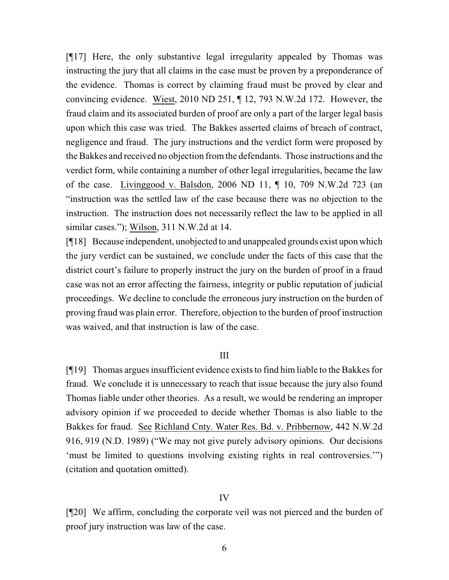[¶17] Here, the only substantive legal irregularity appealed by Thomas was instructing the jury that all claims in the case must be proven by a preponderance of the evidence. Thomas is correct by claiming fraud must be proved by clear and convincing evidence. Wiest, 2010 ND 251, ¶ 12, 793 N.W.2d 172. However, the fraud claim and its associated burden of proof are only a part of the larger legal basis upon which this case was tried. The Bakkes asserted claims of breach of contract, negligence and fraud. The jury instructions and the verdict form were proposed by the Bakkes and received no objection fromthe defendants. Those instructions and the verdict form, while containing a number of other legal irregularities, became the law of the case. Livinggood v. Balsdon, 2006 ND 11, ¶ 10, 709 N.W.2d 723 (an "instruction was the settled law of the case because there was no objection to the instruction. The instruction does not necessarily reflect the law to be applied in all similar cases."); Wilson, 311 N.W.2d at 14.

[¶18] Because independent, unobjected to and unappealed grounds exist upon which the jury verdict can be sustained, we conclude under the facts of this case that the district court's failure to properly instruct the jury on the burden of proof in a fraud case was not an error affecting the fairness, integrity or public reputation of judicial proceedings. We decline to conclude the erroneous jury instruction on the burden of proving fraud was plain error. Therefore, objection to the burden of proof instruction was waived, and that instruction is law of the case.

### III

[¶19] Thomas argues insufficient evidence exists to find him liable to the Bakkes for fraud. We conclude it is unnecessary to reach that issue because the jury also found Thomas liable under other theories. As a result, we would be rendering an improper advisory opinion if we proceeded to decide whether Thomas is also liable to the Bakkes for fraud. See Richland Cnty. Water Res. Bd. v. Pribbernow, 442 N.W.2d 916, 919 (N.D. 1989) ("We may not give purely advisory opinions. Our decisions 'must be limited to questions involving existing rights in real controversies.'") (citation and quotation omitted).

#### IV

[¶20] We affirm, concluding the corporate veil was not pierced and the burden of proof jury instruction was law of the case.